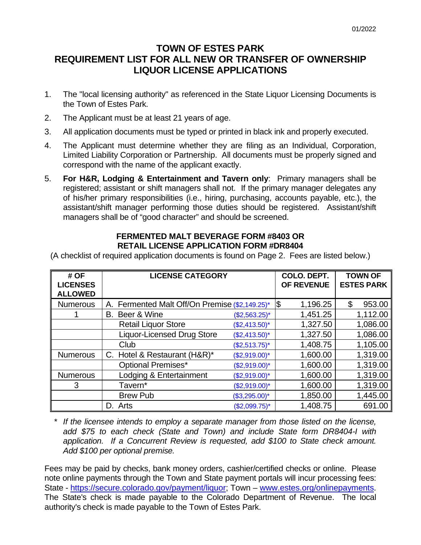## **TOWN OF ESTES PARK REQUIREMENT LIST FOR ALL NEW OR TRANSFER OF OWNERSHIP LIQUOR LICENSE APPLICATIONS**

- 1. The "local licensing authority" as referenced in the State Liquor Licensing Documents is the Town of Estes Park.
- 2. The Applicant must be at least 21 years of age.
- 3. All application documents must be typed or printed in black ink and properly executed.
- 4. The Applicant must determine whether they are filing as an Individual, Corporation, Limited Liability Corporation or Partnership. All documents must be properly signed and correspond with the name of the applicant exactly.
- 5. **For H&R, Lodging & Entertainment and Tavern only**: Primary managers shall be registered; assistant or shift managers shall not. If the primary manager delegates any of his/her primary responsibilities (i.e., hiring, purchasing, accounts payable, etc.), the assistant/shift manager performing those duties should be registered. Assistant/shift managers shall be of "good character" and should be screened.

## **FERMENTED MALT BEVERAGE FORM #8403 OR RETAIL LICENSE APPLICATION FORM #DR8404**

(A checklist of required application documents is found on Page 2. Fees are listed below.)

| # OF<br><b>LICENSES</b><br><b>ALLOWED</b> | <b>LICENSE CATEGORY</b>                        |                 | COLO. DEPT.<br><b>OF REVENUE</b> | <b>TOWN OF</b><br><b>ESTES PARK</b> |
|-------------------------------------------|------------------------------------------------|-----------------|----------------------------------|-------------------------------------|
| <b>Numerous</b>                           | A. Fermented Malt Off/On Premise (\$2,149.25)* |                 | 1,196.25<br>1\$                  | \$<br>953.00                        |
|                                           | Beer & Wine<br>В.                              | $($2,563.25)^*$ | 1,451.25                         | 1,112.00                            |
|                                           | <b>Retail Liquor Store</b>                     | $($2,413.50)*$  | 1,327.50                         | 1,086.00                            |
|                                           | <b>Liquor-Licensed Drug Store</b>              | $($2,413.50)*$  | 1,327.50                         | 1,086.00                            |
|                                           | Club                                           | $($2,513.75)^*$ | 1,408.75                         | 1,105.00                            |
| <b>Numerous</b>                           | C. Hotel & Restaurant (H&R)*                   | $($2,919.00)*$  | 1,600.00                         | 1,319.00                            |
|                                           | <b>Optional Premises*</b>                      | $($2,919.00)*$  | 1,600.00                         | 1,319.00                            |
| <b>Numerous</b>                           | Lodging & Entertainment                        | $($2,919.00)*$  | 1,600.00                         | 1,319.00                            |
| 3                                         | Tavern*                                        | $($2,919.00)*$  | 1,600.00                         | 1,319.00                            |
|                                           | <b>Brew Pub</b>                                | $($3,295.00)*$  | 1,850.00                         | 1,445.00                            |
|                                           | D. Arts                                        | $($2,099.75)*$  | 1,408.75                         | 691.00                              |

*\* If the licensee intends to employ a separate manager from those listed on the license, add \$75 to each check (State and Town) and include State form DR8404-I with application. If a Concurrent Review is requested, add \$100 to State check amount. Add \$100 per optional premise.*

Fees may be paid by checks, bank money orders, cashier/certified checks or online. Please note online payments through the Town and State payment portals will incur processing fees: State - [https://secure.colorado.gov/payment/liquor;](https://secure.colorado.gov/payment/liquor) Town – [www.estes.org/onlinepayments.](http://www.estes.org/onlinepayments) The State's check is made payable to the Colorado Department of Revenue. The local authority's check is made payable to the Town of Estes Park.